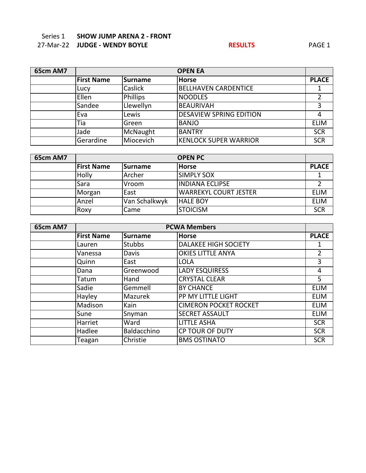## Series 1 **SHOW JUMP ARENA 2 - FRONT** 27-Mar-22 **JUDGE - WENDY BOYLE RESULTS** PAGE 1

| 65cm AM7 |                   | <b>OPEN EA</b>  |                                |              |  |  |
|----------|-------------------|-----------------|--------------------------------|--------------|--|--|
|          | <b>First Name</b> | Surname         | <b>Horse</b>                   | <b>PLACE</b> |  |  |
|          | Lucy              | Caslick         | <b>BELLHAVEN CARDENTICE</b>    |              |  |  |
|          | Ellen             | <b>Phillips</b> | <b>NOODLES</b>                 |              |  |  |
|          | Sandee            | Llewellyn       | <b>BEAURIVAH</b>               |              |  |  |
|          | Eva               | Lewis           | <b>DESAVIEW SPRING EDITION</b> | 4            |  |  |
|          | Tia               | Green           | <b>BANJO</b>                   | <b>ELIM</b>  |  |  |
|          | Jade              | McNaught        | <b>BANTRY</b>                  | <b>SCR</b>   |  |  |
|          | Gerardine         | Miocevich       | <b>KENLOCK SUPER WARRIOR</b>   | <b>SCR</b>   |  |  |

| 65cm AM7 | <b>OPEN PC</b>    |               |                              |              |
|----------|-------------------|---------------|------------------------------|--------------|
|          | <b>First Name</b> | Surname       | <b>Horse</b>                 | <b>PLACE</b> |
|          | Holly             | Archer        | <b>SIMPLY SOX</b>            |              |
|          | Sara              | Vroom         | <b>INDIANA ECLIPSE</b>       |              |
|          | Morgan            | East          | <b>WARREKYL COURT JESTER</b> | <b>ELIM</b>  |
|          | Anzel             | Van Schalkwyk | <b>HALE BOY</b>              | <b>ELIM</b>  |
|          | Roxy              | Came          | <b>STOICISM</b>              | <b>SCR</b>   |

| 65cm AM7 |                   | <b>PCWA Members</b> |                              |              |  |
|----------|-------------------|---------------------|------------------------------|--------------|--|
|          | <b>First Name</b> | Surname             | <b>Horse</b>                 | <b>PLACE</b> |  |
|          | Lauren            | <b>Stubbs</b>       | <b>DALAKEE HIGH SOCIETY</b>  | 1            |  |
|          | Vanessa           | Davis               | <b>OKIES LITTLE ANYA</b>     | 2            |  |
|          | Quinn             | East                | <b>LOLA</b>                  | 3            |  |
|          | Dana              | Greenwood           | <b>LADY ESQUIRESS</b>        | 4            |  |
|          | Tatum             | Hand                | <b>CRYSTAL CLEAR</b>         | 5            |  |
|          | Sadie             | Gemmell             | <b>BY CHANCE</b>             | <b>ELIM</b>  |  |
|          | Hayley            | Mazurek             | PP MY LITTLE LIGHT           | <b>ELIM</b>  |  |
|          | Madison           | Kain                | <b>CIMERON POCKET ROCKET</b> | <b>ELIM</b>  |  |
|          | Sune              | Snyman              | <b>SECRET ASSAULT</b>        | <b>ELIM</b>  |  |
|          | Harriet           | Ward                | <b>LITTLE ASHA</b>           | <b>SCR</b>   |  |
|          | Hadlee            | Baldacchino         | <b>CP TOUR OF DUTY</b>       | <b>SCR</b>   |  |
|          | Teagan            | Christie            | <b>BMS OSTINATO</b>          | <b>SCR</b>   |  |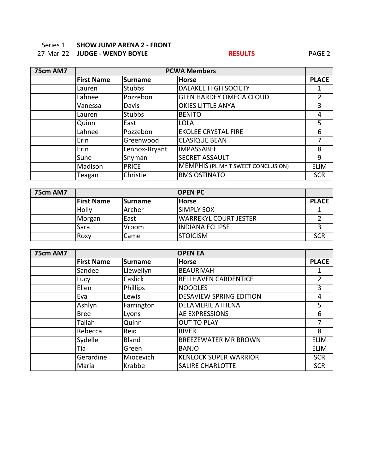### Series 1 **SHOW JUMP ARENA 2 - FRONT** 27-Mar-22 **JUDGE - WENDY BOYLE RESULTS** PAGE 2

| 75cm AM7 |                   | <b>PCWA Members</b> |                                           |              |
|----------|-------------------|---------------------|-------------------------------------------|--------------|
|          | <b>First Name</b> | <b>Surname</b>      | <b>Horse</b>                              | <b>PLACE</b> |
|          | Lauren            | <b>Stubbs</b>       | <b>DALAKEE HIGH SOCIETY</b>               | 1            |
|          | Lahnee            | Pozzebon            | <b>GLEN HARDEY OMEGA CLOUD</b>            | 2            |
|          | Vanessa           | Davis               | <b>OKIES LITTLE ANYA</b>                  | 3            |
|          | Lauren            | <b>Stubbs</b>       | <b>BENITO</b>                             | 4            |
|          | Quinn             | East                | <b>LOLA</b>                               | 5            |
|          | Lahnee            | Pozzebon            | <b>EKOLEE CRYSTAL FIRE</b>                | 6            |
|          | Erin              | Greenwood           | <b>CLASIQUE BEAN</b>                      | 7            |
|          | Erin              | Lennox-Bryant       | <b>IMPASSABEEL</b>                        | 8            |
|          | Sune              | Snyman              | <b>SECRET ASSAULT</b>                     | 9            |
|          | Madison           | <b>PRICE</b>        | <b>MEMPHIS (PL MY T SWEET CONCLUSION)</b> | <b>ELIM</b>  |
|          | Teagan            | Christie            | <b>BMS OSTINATO</b>                       | <b>SCR</b>   |

| 75cm AM7 |                   | <b>OPEN PC</b>  |                              |              |  |
|----------|-------------------|-----------------|------------------------------|--------------|--|
|          | <b>First Name</b> | <b>ISurname</b> | <b>Horse</b>                 | <b>PLACE</b> |  |
|          | Holly             | <b>Archer</b>   | <b>SIMPLY SOX</b>            |              |  |
|          | Morgan            | East            | <b>WARREKYL COURT JESTER</b> |              |  |
|          | Sara              | Vroom           | IINDIANA ECLIPSE             |              |  |
|          | Roxy              | Came            | <b>STOICISM</b>              | <b>SCR</b>   |  |

| 75cm AM7 |                   | <b>OPEN EA</b>  |                                |              |  |  |
|----------|-------------------|-----------------|--------------------------------|--------------|--|--|
|          | <b>First Name</b> | <b>Surname</b>  | <b>Horse</b>                   | <b>PLACE</b> |  |  |
|          | Sandee            | Llewellyn       | <b>BEAURIVAH</b>               |              |  |  |
|          | Lucy              | Caslick         | <b>BELLHAVEN CARDENTICE</b>    | 2            |  |  |
|          | Ellen             | <b>Phillips</b> | <b>NOODLES</b>                 | 3            |  |  |
|          | Eva               | Lewis           | <b>DESAVIEW SPRING EDITION</b> | 4            |  |  |
|          | Ashlyn            | Farrington      | <b>DELAMERIE ATHENA</b>        | 5            |  |  |
|          | <b>Bree</b>       | Lyons           | <b>AE EXPRESSIONS</b>          | 6            |  |  |
|          | Taliah            | Quinn           | <b>OUT TO PLAY</b>             | 7            |  |  |
|          | Rebecca           | Reid            | <b>RIVER</b>                   | 8            |  |  |
|          | Sydelle           | <b>Bland</b>    | <b>BREEZEWATER MR BROWN</b>    | <b>ELIM</b>  |  |  |
|          | Tia               | Green           | <b>BANJO</b>                   | <b>ELIM</b>  |  |  |
|          | Gerardine         | Miocevich       | <b>KENLOCK SUPER WARRIOR</b>   | <b>SCR</b>   |  |  |
|          | Maria             | Krabbe          | <b>SALIRE CHARLOTTE</b>        | <b>SCR</b>   |  |  |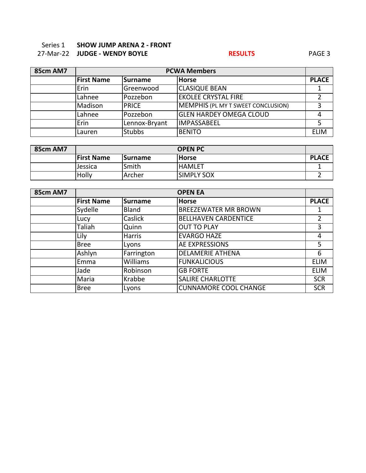### Series 1 **SHOW JUMP ARENA 2 - FRONT** 27-Mar-22 **JUDGE - WENDY BOYLE RESULTS** PAGE 3

| 85cm AM7 |                   | <b>PCWA Members</b> |                                           |              |
|----------|-------------------|---------------------|-------------------------------------------|--------------|
|          | <b>First Name</b> | Surname             | <b>Horse</b>                              | <b>PLACE</b> |
|          | Erin              | Greenwood           | <b>CLASIQUE BEAN</b>                      |              |
|          | Lahnee            | Pozzebon            | <b>EKOLEE CRYSTAL FIRE</b>                |              |
|          | Madison           | <b>IPRICE</b>       | <b>MEMPHIS (PL MY T SWEET CONCLUSION)</b> |              |
|          | Lahnee            | Pozzebon            | <b>GLEN HARDEY OMEGA CLOUD</b>            |              |
|          | Erin              | Lennox-Bryant       | <b>IMPASSABEEL</b>                        |              |
|          | Lauren            | <b>Stubbs</b>       | <b>BENITO</b>                             | <b>ELIM</b>  |

| 85cm AM7 |                   | <b>OPEN PC</b> |                    |              |  |  |
|----------|-------------------|----------------|--------------------|--------------|--|--|
|          | <b>First Name</b> | <b>Surname</b> | <b>Horse</b>       | <b>PLACE</b> |  |  |
|          | Jessica           | Smith          | <b>HAMLET</b>      |              |  |  |
|          | Holly             | <b>Archer</b>  | <b>ISIMPLY SOX</b> |              |  |  |

| 85cm AM7 | <b>OPEN EA</b>    |                 |                              |                |
|----------|-------------------|-----------------|------------------------------|----------------|
|          | <b>First Name</b> | Surname         | <b>Horse</b>                 | <b>PLACE</b>   |
|          | Sydelle           | <b>Bland</b>    | <b>BREEZEWATER MR BROWN</b>  |                |
|          | Lucy              | Caslick         | <b>BELLHAVEN CARDENTICE</b>  | $\overline{2}$ |
|          | Taliah            | Quinn           | <b>OUT TO PLAY</b>           | 3              |
|          | Lily              | <b>Harris</b>   | <b>EVARGO HAZE</b>           | 4              |
|          | <b>Bree</b>       | Lyons           | AE EXPRESSIONS               | 5              |
|          | Ashlyn            | Farrington      | <b>DELAMERIE ATHENA</b>      | 6              |
|          | Emma              | <b>Williams</b> | <b>FUNKALICIOUS</b>          | <b>ELIM</b>    |
|          | Jade              | Robinson        | <b>GB FORTE</b>              | <b>ELIM</b>    |
|          | Maria             | Krabbe          | <b>SALIRE CHARLOTTE</b>      | <b>SCR</b>     |
|          | <b>Bree</b>       | Lyons           | <b>CUNNAMORE COOL CHANGE</b> | <b>SCR</b>     |